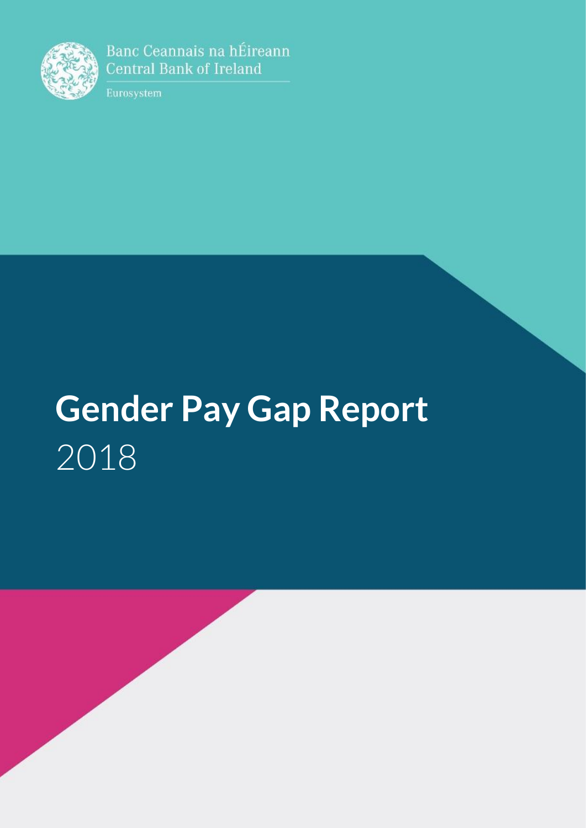

Banc Ceannais na hÉireann **Central Bank of Ireland** 

Eurosystem

## **Gender Pay Gap Report**  2018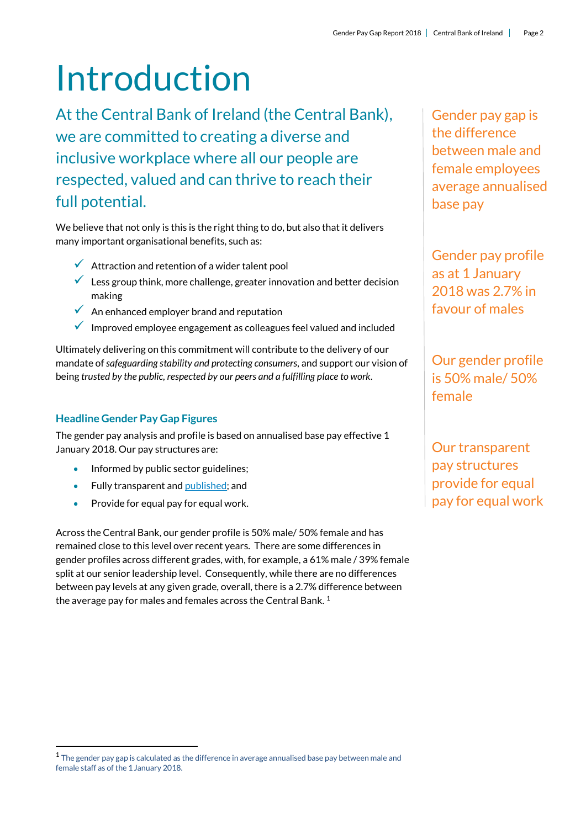# Introduction

At the Central Bank of Ireland (the Central Bank), we are committed to creating a diverse and inclusive workplace where all our people are respected, valued and can thrive to reach their full potential.

We believe that not only is this is the right thing to do, but also that it delivers many important organisational benefits, such as:

- $\checkmark$  Attraction and retention of a wider talent pool
- $\checkmark$  Less group think, more challenge, greater innovation and better decision making
- $\sqrt{\phantom{a}}$  An enhanced employer brand and reputation
- $\checkmark$  Improved employee engagement as colleagues feel valued and included

Ultimately delivering on this commitment will contribute to the delivery of our mandate of *safeguarding stability and protecting consumers,* and support our vision of being *trusted by the public, respected by our peers and a fulfilling place to work*.

### **Headline Gender Pay Gap Figures**

.

The gender pay analysis and profile is based on annualised base pay effective 1 January 2018. Our pay structures are:

- Informed by public sector guidelines:
- Fully transparent an[d published;](https://www.centralbank.ie/docs/default-source/careers/policies/staff-categories-salary-scales-and-salary-bands.pdf?sfvrsn=26) and
- Provide for equal pay for equal work.

Across the Central Bank, our gender profile is 50% male/ 50% female and has remained close to this level over recent years. There are some differences in gender profiles across different grades, with, for example, a 61% male / 39% female split at our senior leadership level. Consequently, while there are no differences between pay levels at any given grade, overall, there is a 2.7% difference between the average pay for males and females across the Central Bank.<sup>1</sup>

Gender pay gap is the difference between male and female employees average annualised base pay

Gender pay profile as at 1 January 2018 was 2.7% in favour of males

Our gender profile is 50% male/ 50% female

Our transparent pay structures provide for equal pay for equal work

 $1$  The gender pay gap is calculated as the difference in average annualised base pay between male and female staff as of the 1January 2018.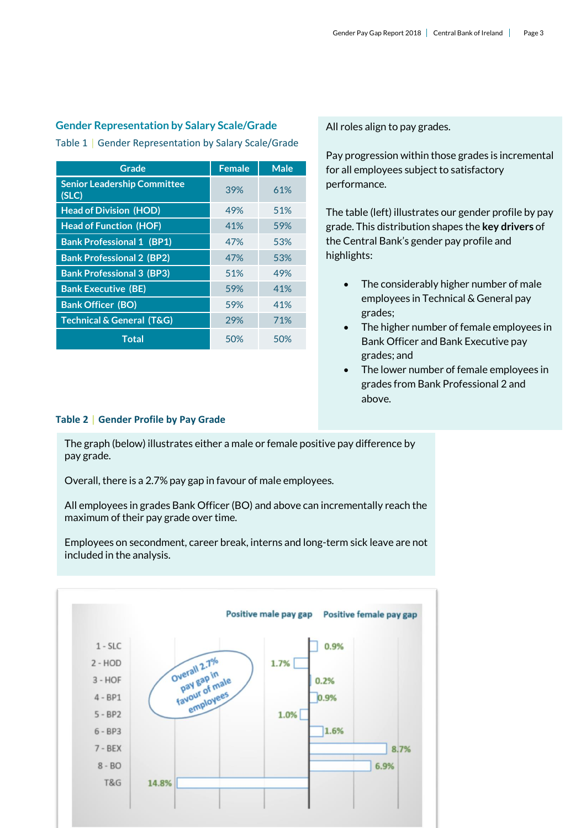#### **Gender Representation by Salary Scale/Grade**

Table 1 | Gender Representation by Salary Scale/Grade

| Grade                                       | <b>Female</b> | <b>Male</b> |
|---------------------------------------------|---------------|-------------|
| <b>Senior Leadership Committee</b><br>(SLC) | 39%           | 61%         |
| <b>Head of Division (HOD)</b>               | 49%           | 51%         |
| <b>Head of Function (HOF)</b>               | 41%           | 59%         |
| <b>Bank Professional 1 (BP1)</b>            | 47%           | 53%         |
| <b>Bank Professional 2 (BP2)</b>            | 47%           | 53%         |
| <b>Bank Professional 3 (BP3)</b>            | 51%           | 49%         |
| <b>Bank Executive (BE)</b>                  | 59%           | 41%         |
| <b>Bank Officer (BO)</b>                    | 59%           | 41%         |
| <b>Technical &amp; General (T&amp;G)</b>    | 29%           | 71%         |
| <b>Total</b>                                | 50%           | 50%         |

All roles align to pay grades.

Pay progression within those grades is incremental for all employees subject to satisfactory performance.

The table (left) illustrates our gender profile by pay grade. This distribution shapes the **key drivers** of the Central Bank's gender pay profile and highlights:

- The considerably higher number of male employees in Technical & General pay grades;
- The higher number of female employees in Bank Officer and Bank Executive pay grades; and
- The lower number of female employees in grades from Bank Professional 2 and above.

#### **Table 2 | Gender Profile by Pay Grade**

The graph (below) illustrates either a male or female positive pay difference by pay grade.

Overall, there is a 2.7% pay gap in favour of male employees.

All employees in grades Bank Officer (BO) and above can incrementally reach the maximum of their pay grade over time.

Employees on secondment, career break, interns and long-term sick leave are not included in the analysis.

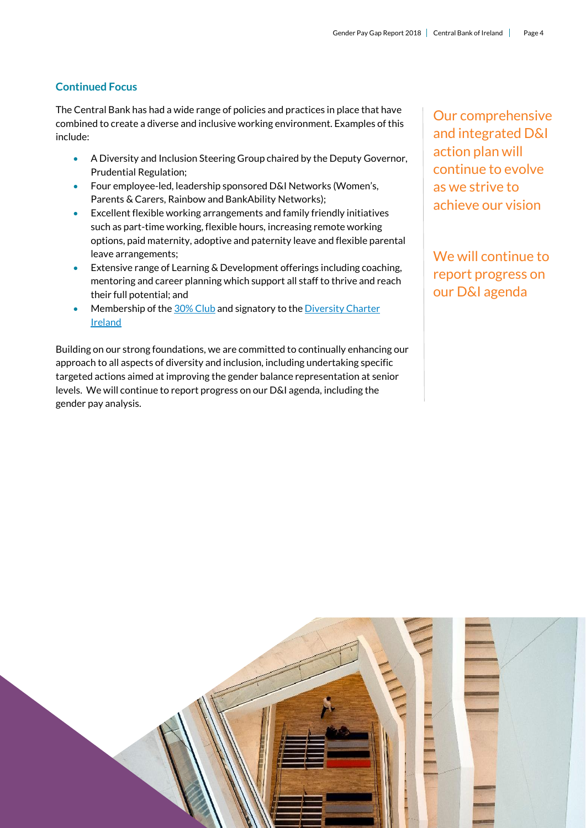#### **Continued Focus**

The Central Bank has had a wide range of policies and practices in place that have combined to create a diverse and inclusive working environment. Examples of this include:

- A Diversity and Inclusion Steering Group chaired by the Deputy Governor, Prudential Regulation;
- Four employee-led, leadership sponsored D&I Networks (Women's, Parents & Carers, Rainbow and BankAbility Networks);
- Excellent flexible working arrangements and family friendly initiatives such as part-time working, flexible hours, increasing remote working options, paid maternity, adoptive and paternity leave and flexible parental leave arrangements;
- Extensive range of Learning & Development offerings including coaching, mentoring and career planning which support all staff to thrive and reach their full potential; and
- Membership of th[e 30% Club](https://30percentclub.org/about/chapters/ireland) and signatory to the [Diversity Charter](http://www.diversity-charter.com/diversity-charter-ireland-charter.php)  [Ireland](http://www.diversity-charter.com/diversity-charter-ireland-charter.php)

Building on our strong foundations, we are committed to continually enhancing our approach to all aspects of diversity and inclusion, including undertaking specific targeted actions aimed at improving the gender balance representation at senior levels. We will continue to report progress on our D&I agenda, including the gender pay analysis.

Our comprehensive and integrated D&I action plan will continue to evolve as we strive to achieve our vision

We will continue to report progress on our D&I agenda